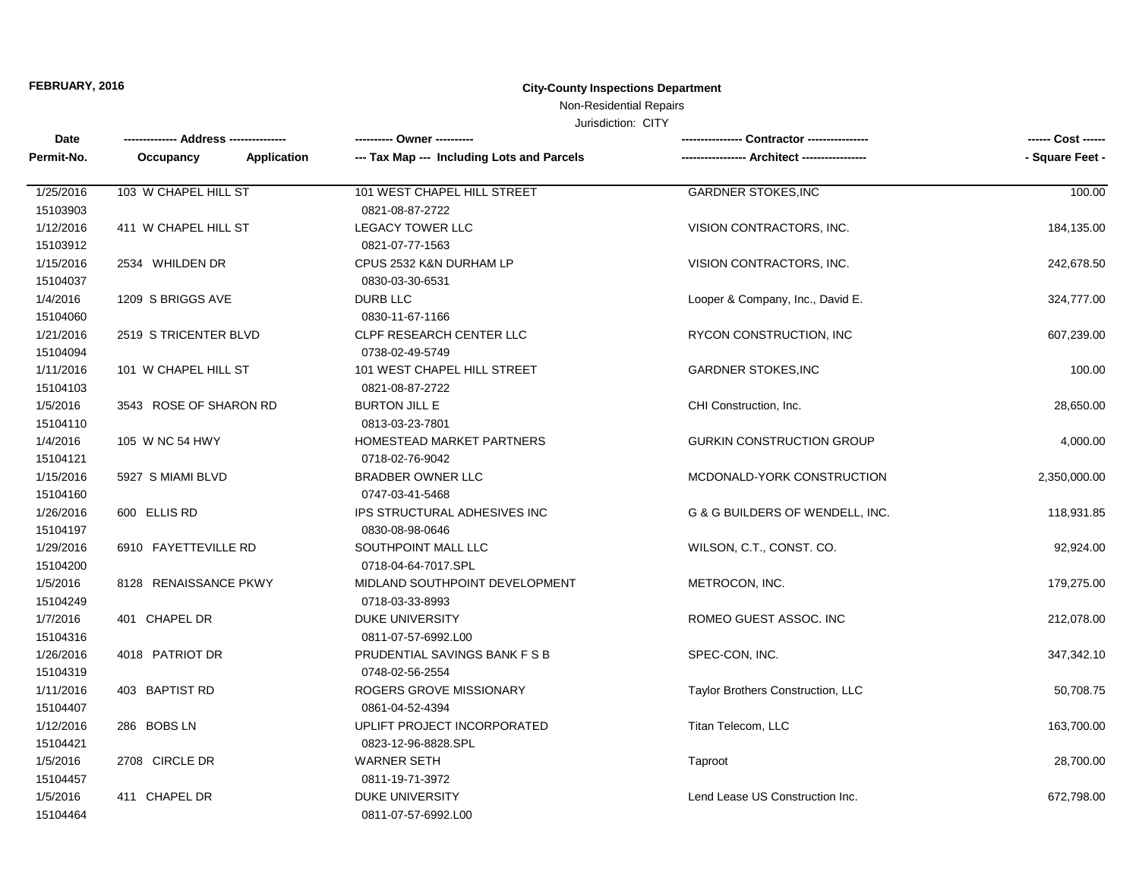# **FEBRUARY, 2016 City-County Inspections Department**

## Non-Residential Repairs

### Jurisdiction: CITY

| Date       |                          | --------- Owner ---------                  |                                   | ------ Cost ------ |
|------------|--------------------------|--------------------------------------------|-----------------------------------|--------------------|
| Permit-No. | Application<br>Occupancy | --- Tax Map --- Including Lots and Parcels |                                   | - Square Feet -    |
| 1/25/2016  | 103 W CHAPEL HILL ST     | 101 WEST CHAPEL HILL STREET                | <b>GARDNER STOKES, INC</b>        | 100.00             |
| 15103903   |                          | 0821-08-87-2722                            |                                   |                    |
| 1/12/2016  | 411 W CHAPEL HILL ST     | <b>LEGACY TOWER LLC</b>                    | VISION CONTRACTORS, INC.          | 184,135.00         |
| 15103912   |                          | 0821-07-77-1563                            |                                   |                    |
| 1/15/2016  | 2534 WHILDEN DR          | CPUS 2532 K&N DURHAM LP                    | VISION CONTRACTORS, INC.          | 242,678.50         |
| 15104037   |                          | 0830-03-30-6531                            |                                   |                    |
| 1/4/2016   | 1209 S BRIGGS AVE        | DURB LLC                                   | Looper & Company, Inc., David E.  | 324,777.00         |
| 15104060   |                          | 0830-11-67-1166                            |                                   |                    |
| 1/21/2016  | 2519 STRICENTER BLVD     | CLPF RESEARCH CENTER LLC                   | RYCON CONSTRUCTION, INC           | 607,239.00         |
| 15104094   |                          | 0738-02-49-5749                            |                                   |                    |
| 1/11/2016  | 101 W CHAPEL HILL ST     | 101 WEST CHAPEL HILL STREET                | <b>GARDNER STOKES, INC</b>        | 100.00             |
| 15104103   |                          | 0821-08-87-2722                            |                                   |                    |
| 1/5/2016   | 3543 ROSE OF SHARON RD   | <b>BURTON JILL E</b>                       | CHI Construction, Inc.            | 28,650.00          |
| 15104110   |                          | 0813-03-23-7801                            |                                   |                    |
| 1/4/2016   | 105 W NC 54 HWY          | HOMESTEAD MARKET PARTNERS                  | <b>GURKIN CONSTRUCTION GROUP</b>  | 4,000.00           |
| 15104121   |                          | 0718-02-76-9042                            |                                   |                    |
| 1/15/2016  | 5927 S MIAMI BLVD        | <b>BRADBER OWNER LLC</b>                   | MCDONALD-YORK CONSTRUCTION        | 2,350,000.00       |
| 15104160   |                          | 0747-03-41-5468                            |                                   |                    |
| 1/26/2016  | 600 ELLIS RD             | IPS STRUCTURAL ADHESIVES INC               | G & G BUILDERS OF WENDELL, INC.   | 118,931.85         |
| 15104197   |                          | 0830-08-98-0646                            |                                   |                    |
| 1/29/2016  | 6910 FAYETTEVILLE RD     | SOUTHPOINT MALL LLC                        | WILSON, C.T., CONST. CO.          | 92,924.00          |
| 15104200   |                          | 0718-04-64-7017.SPL                        |                                   |                    |
| 1/5/2016   | 8128 RENAISSANCE PKWY    | MIDLAND SOUTHPOINT DEVELOPMENT             | METROCON, INC.                    | 179,275.00         |
| 15104249   |                          | 0718-03-33-8993                            |                                   |                    |
| 1/7/2016   | 401 CHAPEL DR            | <b>DUKE UNIVERSITY</b>                     | ROMEO GUEST ASSOC. INC            | 212,078.00         |
| 15104316   |                          | 0811-07-57-6992.L00                        |                                   |                    |
| 1/26/2016  | 4018 PATRIOT DR          | PRUDENTIAL SAVINGS BANK F S B              | SPEC-CON, INC.                    | 347,342.10         |
| 15104319   |                          | 0748-02-56-2554                            |                                   |                    |
| 1/11/2016  | 403 BAPTIST RD           | ROGERS GROVE MISSIONARY                    | Taylor Brothers Construction, LLC | 50,708.75          |
| 15104407   |                          | 0861-04-52-4394                            |                                   |                    |
| 1/12/2016  | 286 BOBS LN              | UPLIFT PROJECT INCORPORATED                | Titan Telecom, LLC                | 163,700.00         |
| 15104421   |                          | 0823-12-96-8828.SPL                        |                                   |                    |
| 1/5/2016   | 2708 CIRCLE DR           | WARNER SETH                                | Taproot                           | 28,700.00          |
| 15104457   |                          | 0811-19-71-3972                            |                                   |                    |
| 1/5/2016   | 411 CHAPEL DR            | <b>DUKE UNIVERSITY</b>                     | Lend Lease US Construction Inc.   | 672,798.00         |
| 15104464   |                          | 0811-07-57-6992.L00                        |                                   |                    |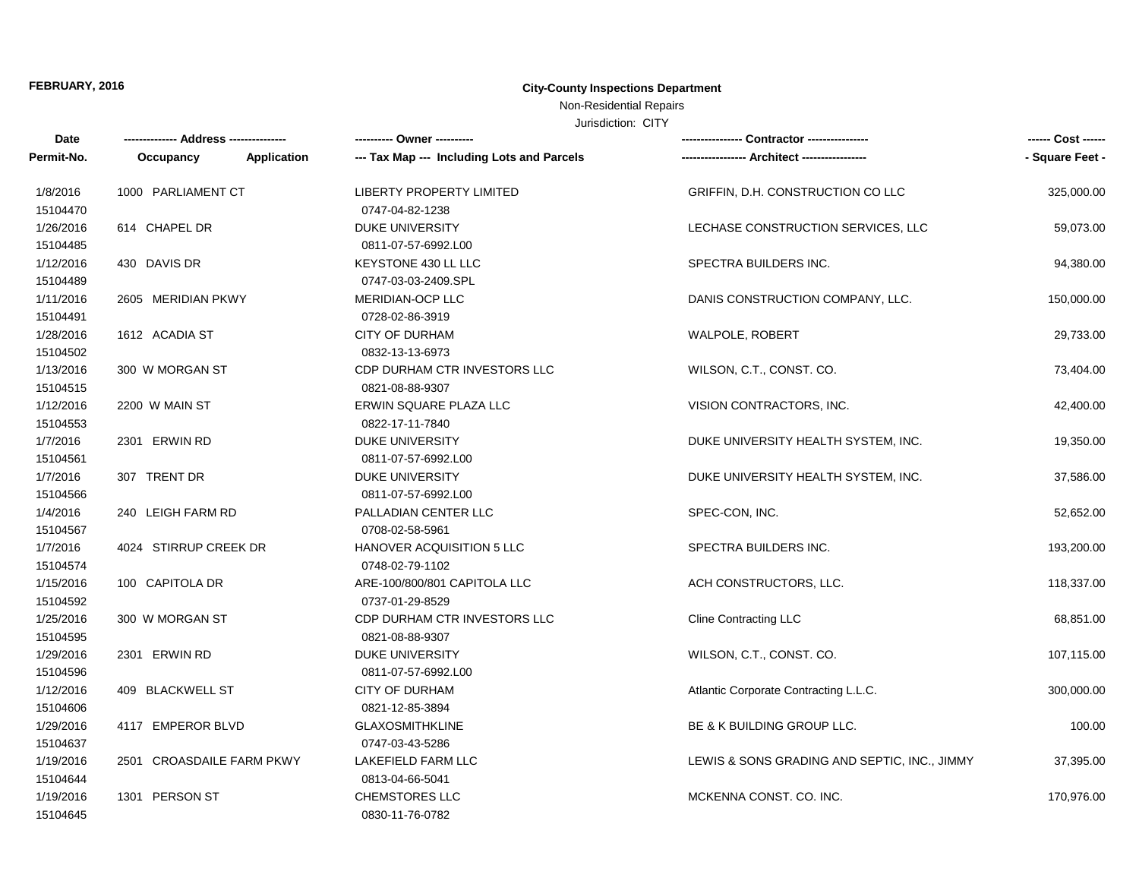# **FEBRUARY, 2016 City-County Inspections Department**

## Non-Residential Repairs

### Jurisdiction: CITY

| Date                  |                           |             | ---------- Owner ----------                |                                              | ------ Cost ------ |
|-----------------------|---------------------------|-------------|--------------------------------------------|----------------------------------------------|--------------------|
| Permit-No.            | Occupancy                 | Application | --- Tax Map --- Including Lots and Parcels |                                              | - Square Feet -    |
| 1/8/2016              | 1000 PARLIAMENT CT        |             | <b>LIBERTY PROPERTY LIMITED</b>            | GRIFFIN, D.H. CONSTRUCTION CO LLC            | 325,000.00         |
| 15104470              |                           |             | 0747-04-82-1238                            |                                              |                    |
| 1/26/2016             | 614 CHAPEL DR             |             | <b>DUKE UNIVERSITY</b>                     | LECHASE CONSTRUCTION SERVICES, LLC           | 59,073.00          |
| 15104485              |                           |             | 0811-07-57-6992.L00                        |                                              |                    |
| 1/12/2016             | 430 DAVIS DR              |             | KEYSTONE 430 LL LLC                        | SPECTRA BUILDERS INC.                        | 94,380.00          |
| 15104489              |                           |             | 0747-03-03-2409.SPL                        |                                              |                    |
| 1/11/2016<br>15104491 | 2605 MERIDIAN PKWY        |             | MERIDIAN-OCP LLC<br>0728-02-86-3919        | DANIS CONSTRUCTION COMPANY, LLC.             | 150,000.00         |
| 1/28/2016             | 1612 ACADIA ST            |             | <b>CITY OF DURHAM</b>                      | <b>WALPOLE, ROBERT</b>                       | 29,733.00          |
| 15104502              |                           |             | 0832-13-13-6973                            |                                              |                    |
| 1/13/2016             | 300 W MORGAN ST           |             | CDP DURHAM CTR INVESTORS LLC               | WILSON, C.T., CONST. CO.                     | 73,404.00          |
| 15104515              |                           |             | 0821-08-88-9307                            |                                              |                    |
| 1/12/2016             | 2200 W MAIN ST            |             | ERWIN SQUARE PLAZA LLC                     | VISION CONTRACTORS, INC.                     | 42,400.00          |
| 15104553              |                           |             | 0822-17-11-7840                            |                                              |                    |
| 1/7/2016              | 2301 ERWIN RD             |             | <b>DUKE UNIVERSITY</b>                     | DUKE UNIVERSITY HEALTH SYSTEM, INC.          | 19,350.00          |
| 15104561              |                           |             | 0811-07-57-6992.L00                        |                                              |                    |
| 1/7/2016              | 307 TRENT DR              |             | <b>DUKE UNIVERSITY</b>                     | DUKE UNIVERSITY HEALTH SYSTEM, INC.          | 37,586.00          |
| 15104566              |                           |             | 0811-07-57-6992.L00                        |                                              |                    |
| 1/4/2016              | 240 LEIGH FARM RD         |             | PALLADIAN CENTER LLC                       | SPEC-CON, INC.                               | 52,652.00          |
| 15104567              |                           |             | 0708-02-58-5961                            |                                              |                    |
| 1/7/2016              | 4024 STIRRUP CREEK DR     |             | <b>HANOVER ACQUISITION 5 LLC</b>           | SPECTRA BUILDERS INC.                        | 193,200.00         |
| 15104574              |                           |             | 0748-02-79-1102                            |                                              |                    |
| 1/15/2016             | 100 CAPITOLA DR           |             | ARE-100/800/801 CAPITOLA LLC               | ACH CONSTRUCTORS, LLC.                       | 118,337.00         |
| 15104592              |                           |             | 0737-01-29-8529                            |                                              |                    |
| 1/25/2016             | 300 W MORGAN ST           |             | CDP DURHAM CTR INVESTORS LLC               | <b>Cline Contracting LLC</b>                 | 68,851.00          |
| 15104595              |                           |             | 0821-08-88-9307                            |                                              |                    |
| 1/29/2016             | 2301 ERWIN RD             |             | <b>DUKE UNIVERSITY</b>                     | WILSON, C.T., CONST. CO.                     | 107,115.00         |
| 15104596              |                           |             | 0811-07-57-6992.L00                        |                                              |                    |
| 1/12/2016             | 409 BLACKWELL ST          |             | <b>CITY OF DURHAM</b>                      | Atlantic Corporate Contracting L.L.C.        | 300,000.00         |
| 15104606              |                           |             | 0821-12-85-3894                            |                                              |                    |
| 1/29/2016             | 4117 EMPEROR BLVD         |             | <b>GLAXOSMITHKLINE</b>                     | <b>BE &amp; K BUILDING GROUP LLC.</b>        | 100.00             |
| 15104637              |                           |             | 0747-03-43-5286                            |                                              |                    |
| 1/19/2016             | 2501 CROASDAILE FARM PKWY |             | LAKEFIELD FARM LLC                         | LEWIS & SONS GRADING AND SEPTIC, INC., JIMMY | 37,395.00          |
| 15104644              |                           |             | 0813-04-66-5041                            |                                              |                    |
| 1/19/2016             | 1301 PERSON ST            |             | <b>CHEMSTORES LLC</b>                      | MCKENNA CONST. CO. INC.                      | 170,976.00         |
| 15104645              |                           |             | 0830-11-76-0782                            |                                              |                    |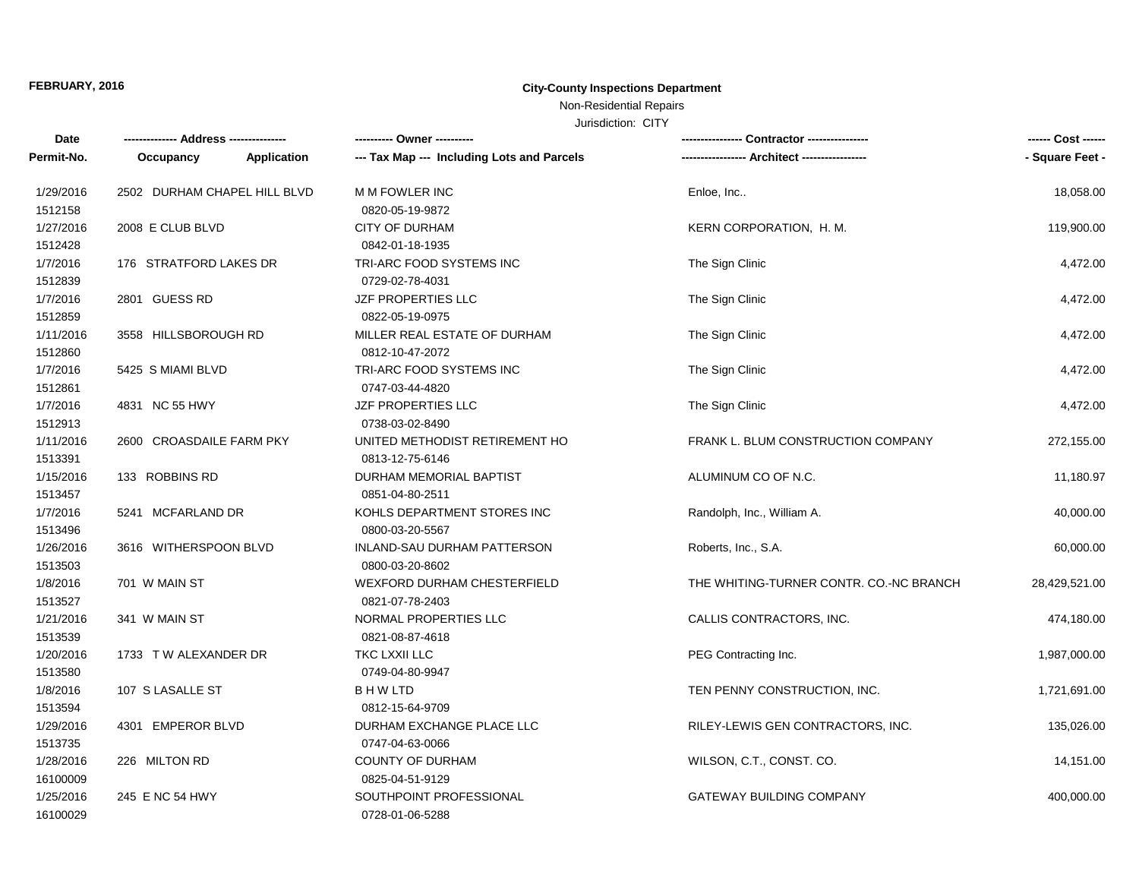# **FEBRUARY, 2016 City-County Inspections Department**

# Non-Residential Repairs

## Jurisdiction: CITY

| Date                  |                              | ---------- Owner ----------                       |                                         | ------ Cost ------ |
|-----------------------|------------------------------|---------------------------------------------------|-----------------------------------------|--------------------|
| Permit-No.            | Application<br>Occupancy     | --- Tax Map --- Including Lots and Parcels        |                                         | - Square Feet -    |
| 1/29/2016<br>1512158  | 2502 DURHAM CHAPEL HILL BLVD | <b>M M FOWLER INC</b><br>0820-05-19-9872          | Enloe, Inc                              | 18,058.00          |
| 1/27/2016<br>1512428  | 2008 E CLUB BLVD             | <b>CITY OF DURHAM</b><br>0842-01-18-1935          | KERN CORPORATION, H. M.                 | 119,900.00         |
| 1/7/2016<br>1512839   | 176 STRATFORD LAKES DR       | TRI-ARC FOOD SYSTEMS INC<br>0729-02-78-4031       | The Sign Clinic                         | 4,472.00           |
| 1/7/2016<br>1512859   | 2801 GUESS RD                | JZF PROPERTIES LLC<br>0822-05-19-0975             | The Sign Clinic                         | 4,472.00           |
| 1/11/2016<br>1512860  | 3558 HILLSBOROUGH RD         | MILLER REAL ESTATE OF DURHAM<br>0812-10-47-2072   | The Sign Clinic                         | 4,472.00           |
| 1/7/2016<br>1512861   | 5425 S MIAMI BLVD            | TRI-ARC FOOD SYSTEMS INC<br>0747-03-44-4820       | The Sign Clinic                         | 4,472.00           |
| 1/7/2016<br>1512913   | 4831 NC 55 HWY               | JZF PROPERTIES LLC<br>0738-03-02-8490             | The Sign Clinic                         | 4,472.00           |
| 1/11/2016<br>1513391  | 2600 CROASDAILE FARM PKY     | UNITED METHODIST RETIREMENT HO<br>0813-12-75-6146 | FRANK L. BLUM CONSTRUCTION COMPANY      | 272,155.00         |
| 1/15/2016<br>1513457  | 133 ROBBINS RD               | DURHAM MEMORIAL BAPTIST<br>0851-04-80-2511        | ALUMINUM CO OF N.C.                     | 11,180.97          |
| 1/7/2016<br>1513496   | 5241 MCFARLAND DR            | KOHLS DEPARTMENT STORES INC<br>0800-03-20-5567    | Randolph, Inc., William A.              | 40,000.00          |
| 1/26/2016<br>1513503  | 3616 WITHERSPOON BLVD        | INLAND-SAU DURHAM PATTERSON<br>0800-03-20-8602    | Roberts, Inc., S.A.                     | 60,000.00          |
| 1/8/2016<br>1513527   | 701 W MAIN ST                | WEXFORD DURHAM CHESTERFIELD<br>0821-07-78-2403    | THE WHITING-TURNER CONTR. CO.-NC BRANCH | 28,429,521.00      |
| 1/21/2016<br>1513539  | 341 W MAIN ST                | NORMAL PROPERTIES LLC<br>0821-08-87-4618          | CALLIS CONTRACTORS, INC.                | 474,180.00         |
| 1/20/2016<br>1513580  | 1733 TW ALEXANDER DR         | TKC LXXII LLC<br>0749-04-80-9947                  | PEG Contracting Inc.                    | 1,987,000.00       |
| 1/8/2016<br>1513594   | 107 S LASALLE ST             | <b>BHWLTD</b><br>0812-15-64-9709                  | TEN PENNY CONSTRUCTION, INC.            | 1,721,691.00       |
| 1/29/2016<br>1513735  | 4301 EMPEROR BLVD            | DURHAM EXCHANGE PLACE LLC<br>0747-04-63-0066      | RILEY-LEWIS GEN CONTRACTORS, INC.       | 135,026.00         |
| 1/28/2016<br>16100009 | 226 MILTON RD                | COUNTY OF DURHAM<br>0825-04-51-9129               | WILSON, C.T., CONST. CO.                | 14,151.00          |
| 1/25/2016<br>16100029 | 245 E NC 54 HWY              | SOUTHPOINT PROFESSIONAL<br>0728-01-06-5288        | <b>GATEWAY BUILDING COMPANY</b>         | 400,000.00         |